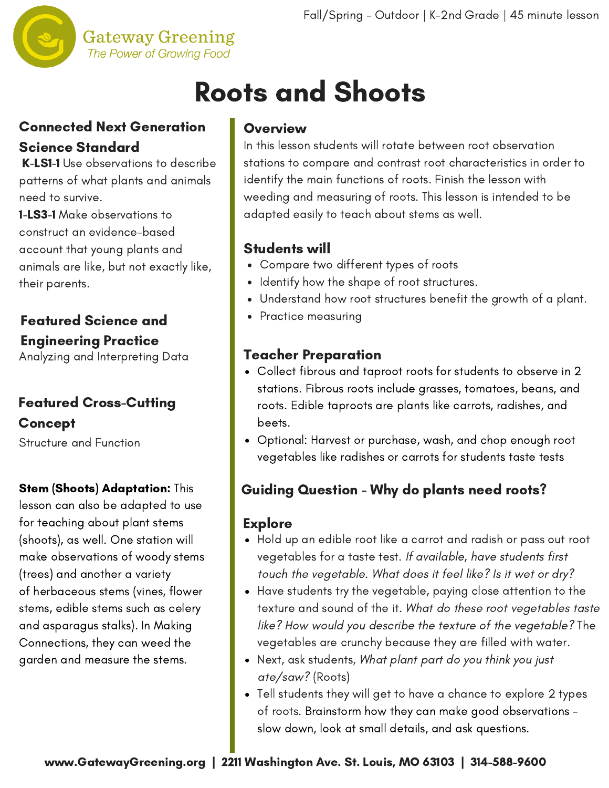

### **Gateway Greening** The Power of Growing Food

# Roots and Shoots

# Connected Next Generation Science Standard

K-LS1-1 Use observations to describe patterns of what plants and animals need to survive.

1-LS3-1 Make observations to construct an evidence-based account that young plants and animals are like, but not exactly like, their parents.

# Featured Science and Engineering Practice

Analyzing and Interpreting Data

# Featured Cross-Cutting Concept

Structure and Function

# **Stem (Shoots) Adaptation: This**

lesson can also be adapted to use for teaching about plant stems (shoots), as well. One station will make observations of woody stems (trees) and another a variety of herbaceous stems (vines, flower stems, edible stems such as celery and asparagus stalks). In Making Connections, they can weed the garden and measure the stems.

### **Overview**

In this lesson students will rotate between root observation stations to compare and contrast root [characteristics](http://www.gatewaygreening.org/wp-content/uploads/2018/08/Gateway-Greening-Planting-Calendar-2018.pdf) in order to identify the main functions of roots. Finish the lesson with weeding and measuring of roots. This lesson is intended to be adapted easily to teach about stems as well.

# Students will

- Compare two different types of roots
- Identify how the shape of root structures.
- Understand how root structures benefit the growth of a plant.
- Practice measuring

# Teacher Preparation

- Collect fibrous and taproot roots for students to observe in 2 stations. Fibrous roots include grasses, tomatoes, beans, and roots. Edible taproots are plants like carrots, radishes, and beets.
- Optional: Harvest or purchase, wash, and chop enough root vegetables like radishes or carrots for students taste tests

# Guiding Question - Why do plants need roots?

# **Explore**

- Hold up an edible root like a carrot and radish or pass out root vegetables for a taste test. If available, have students first touch the vegetable. What does it feel like? Is it wet or dry?
- Have students try the vegetable, paying close attention to the texture and sound of the it. What do these root vegetables taste like? How would you describe the texture of the vegetable? The vegetables are crunchy because they are filled with water.
- Next, ask students, What plant part do you think you just ate/saw? (Roots)
- Tell students they will get to have a chance to explore 2 types of roots. Brainstorm how they can make good observations slow down, look at small details, and ask questions.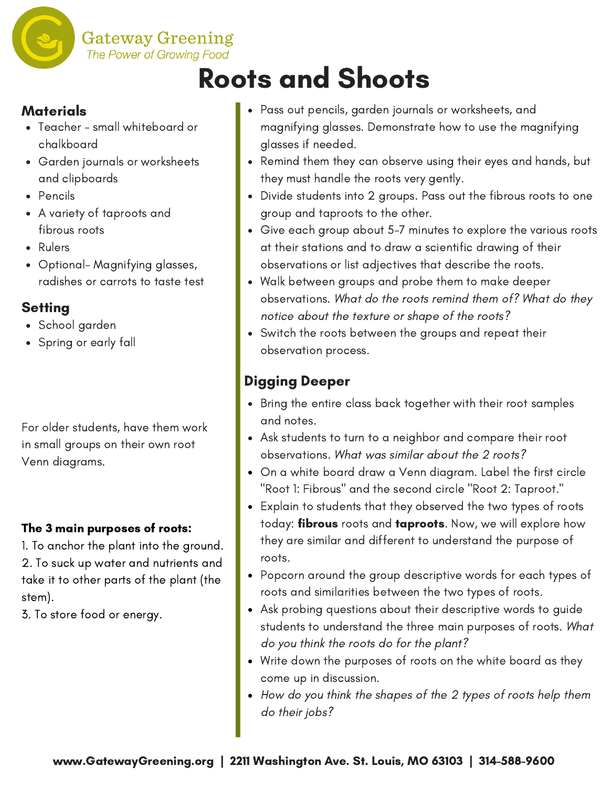

# Roots and Shoots

### **Materials**

- Teacher small whiteboard or chalkboard
- Garden journals or worksheets and clipboards
- Pencils
- A variety of taproots and fibrous roots
- Rulers
- Optional- Magnifying glasses, radishes or carrots to taste test

# **Setting**

- School garden
- Spring or early fall

For older students, have them work in small groups on their own root Venn diagrams.

### The 3 main purposes of roots:

1. To anchor the plant into the ground. 2. To suck up water and nutrients and take it to other parts of the plant (the stem).

3. To store food or energy.

- Pass out pencils, garden journals or worksheets, and magnifying glasses. Demonstrate how to use the magnifying glasses if needed.
- Remind them they can observe using their eyes and hands, but they must handle the roots very gently.
- Divide students into 2 groups. Pass out the fibrous roots to one group and taproots to the other.
- Give each group about 5-7 minutes to explore the various roots at their stations and to draw a scientific drawing of their observations or list adjectives that describe the roots.
- Walk between groups and probe them to make deeper observations. What do the roots remind them of? What do they notice about the texture or shape of the roots?
- Switch the roots between the groups and repeat their observation process.

# Digging Deeper

- Bring the entire class back together with their root samples and notes.
- Ask students to turn to a neighbor and compare their root observations. What was similar about the 2 roots?
- On a white board draw a Venn diagram. Label the first circle "Root 1: Fibrous" and the second circle "Root 2: Taproot."
- Explain to students that they observed the two types of roots today: fibrous roots and taproots. Now, we will explore how they are similar and different to understand the purpose of roots.
- Popcorn around the group descriptive words for each types of roots and similarities between the two types of roots.
- Ask probing questions about their descriptive words to guide students to understand the three main purposes of roots. What do you think the roots do for the plant?
- Write down the purposes of roots on the white board as they come up in discussion.
- How do you think the shapes of the 2 types of roots help them do their jobs?